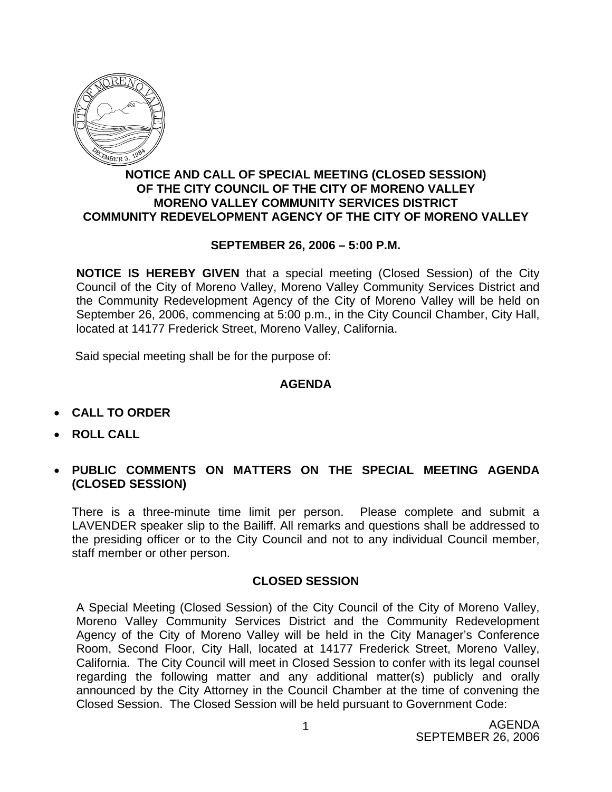

## **NOTICE AND CALL OF SPECIAL MEETING (CLOSED SESSION) OF THE CITY COUNCIL OF THE CITY OF MORENO VALLEY MORENO VALLEY COMMUNITY SERVICES DISTRICT COMMUNITY REDEVELOPMENT AGENCY OF THE CITY OF MORENO VALLEY**

## **SEPTEMBER 26, 2006 – 5:00 P.M.**

**NOTICE IS HEREBY GIVEN** that a special meeting (Closed Session) of the City Council of the City of Moreno Valley, Moreno Valley Community Services District and the Community Redevelopment Agency of the City of Moreno Valley will be held on September 26, 2006, commencing at 5:00 p.m., in the City Council Chamber, City Hall, located at 14177 Frederick Street, Moreno Valley, California.

Said special meeting shall be for the purpose of:

## **AGENDA**

- **CALL TO ORDER**
- **ROLL CALL**
- **PUBLIC COMMENTS ON MATTERS ON THE SPECIAL MEETING AGENDA (CLOSED SESSION)**

There is a three-minute time limit per person. Please complete and submit a LAVENDER speaker slip to the Bailiff. All remarks and questions shall be addressed to the presiding officer or to the City Council and not to any individual Council member, staff member or other person.

## **CLOSED SESSION**

A Special Meeting (Closed Session) of the City Council of the City of Moreno Valley, Moreno Valley Community Services District and the Community Redevelopment Agency of the City of Moreno Valley will be held in the City Manager's Conference Room, Second Floor, City Hall, located at 14177 Frederick Street, Moreno Valley, California. The City Council will meet in Closed Session to confer with its legal counsel regarding the following matter and any additional matter(s) publicly and orally announced by the City Attorney in the Council Chamber at the time of convening the Closed Session. The Closed Session will be held pursuant to Government Code: